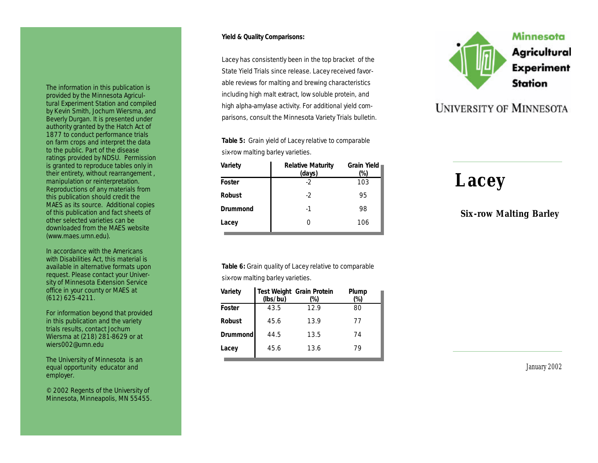The information in this publication is provided by the Minnesota Agricultural Experiment Station and compiled by Kevin Smith, Jochum Wiersma, and Beverly Durgan. It is presented under authority granted by the Hatch Act of 1877 to conduct performance trials on farm crops and interpret the data to the public. Part of the disease ratings provided by NDSU. Permission is granted to reproduce tables only in their entirety, without rearrangement , manipulation or reinterpretation. Reproductions of any materials from this publication should credit the MAES as its source. Additional copies of this publication and fact sheets of other selected varieties can be downloaded from the MAES website (www.maes.umn.edu).

In accordance with the Americans with Disabilities Act, this material is available in alternative formats upon request. Please contact your University of Minnesota Extension Service office in your county or MAES at (612) 625 -4211.

For information beyond that provided in this publication and the variety trials results, contact Jochum Wiersma at (218) 281 -8629 or at wiers002@umn.edu

The University of Minnesota is an equal opportunity educator and employer.

© 2002 Regents of the University of Minnesota, Minneapolis, MN 55455.

#### **Yield & Quality Comparisons:**

Lacey has consistently been in the top bracket of the State Yield Trials since release. Lacey received favorable reviews for malting and brewing characteristics including high malt extract, low soluble protein, and high alpha -amylase activity. For additional yield comparisons, consult the Minnesota Variety Trials bulletin.

**Table 5:** Grain yield of Lacey relative to comparable six-row malting barley varieties.

| Variety       | <b>Relative Maturity</b><br>(days) | <b>Grain Yield</b><br>(%) |
|---------------|------------------------------------|---------------------------|
| Foster        | -2                                 | 103                       |
| <b>Robust</b> | -2                                 | 95                        |
| Drummond      | -1                                 | 98                        |
| Lacey         | 0                                  | 106                       |

**Table 6:** Grain quality of Lacey relative to comparable

six-row malting barley varieties.

| Variety         | (lbs/bu) | Test Weight Grain Protein<br>(%) | Plump<br>'%) |
|-----------------|----------|----------------------------------|--------------|
| Foster          | 43.5     | 12.9                             | 80           |
| <b>Robust</b>   | 45.6     | 13.9                             | 77           |
| <b>Drummond</b> | 44.5     | 13.5                             | 74           |
| Lacey           | 45.6     | 13.6                             | 79           |



## **UNIVERSITY OF MINNESOTA**

# *Lacey*

### *Six -row Malting Barley*

*January 2002*